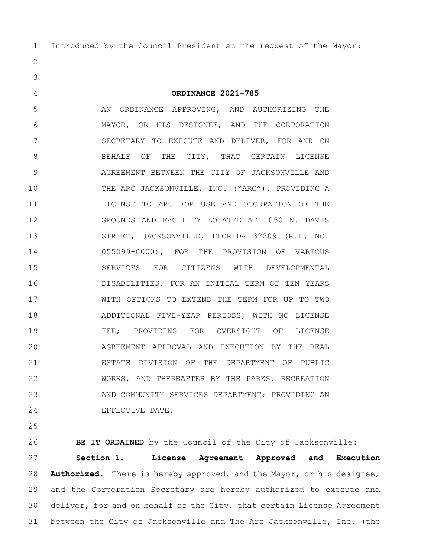Introduced by the Council President at the request of the Mayor:

**ORDINANCE 2021-785**

5 AN ORDINANCE APPROVING, AND AUTHORIZING THE MAYOR, OR HIS DESIGNEE, AND THE CORPORATION 7 SECRETARY TO EXECUTE AND DELIVER, FOR AND ON 8 BEHALF OF THE CITY, THAT CERTAIN LICENSE AGREEMENT BETWEEN THE CITY OF JACKSONVILLE AND 10 THE ARC JACKSONVILLE, INC. ("ARC"), PROVIDING A LICENSE TO ARC FOR USE AND OCCUPATION OF THE GROUNDS AND FACILITY LOCATED AT 1050 N. DAVIS 13 STREET, JACKSONVILLE, FLORIDA 32209 (R.E. NO. 055099-0000), FOR THE PROVISION OF VARIOUS SERVICES FOR CITIZENS WITH DEVELOPMENTAL DISABILITIES, FOR AN INITIAL TERM OF TEN YEARS WITH OPTIONS TO EXTEND THE TERM FOR UP TO TWO ADDITIONAL FIVE-YEAR PERIODS, WITH NO LICENSE FEE; PROVIDING FOR OVERSIGHT OF LICENSE 20 AGREEMENT APPROVAL AND EXECUTION BY THE REAL ESTATE DIVISION OF THE DEPARTMENT OF PUBLIC WORKS, AND THEREAFTER BY THE PARKS, RECREATION 23 AND COMMUNITY SERVICES DEPARTMENT; PROVIDING AN EFFECTIVE DATE.

**BE IT ORDAINED** by the Council of the City of Jacksonville:

 **Section 1. License Agreement Approved and Execution Authorized.** There is hereby approved, and the Mayor, or his designee, and the Corporation Secretary are hereby authorized to execute and deliver, for and on behalf of the City, that certain License Agreement between the City of Jacksonville and The Arc Jacksonville, Inc. (the